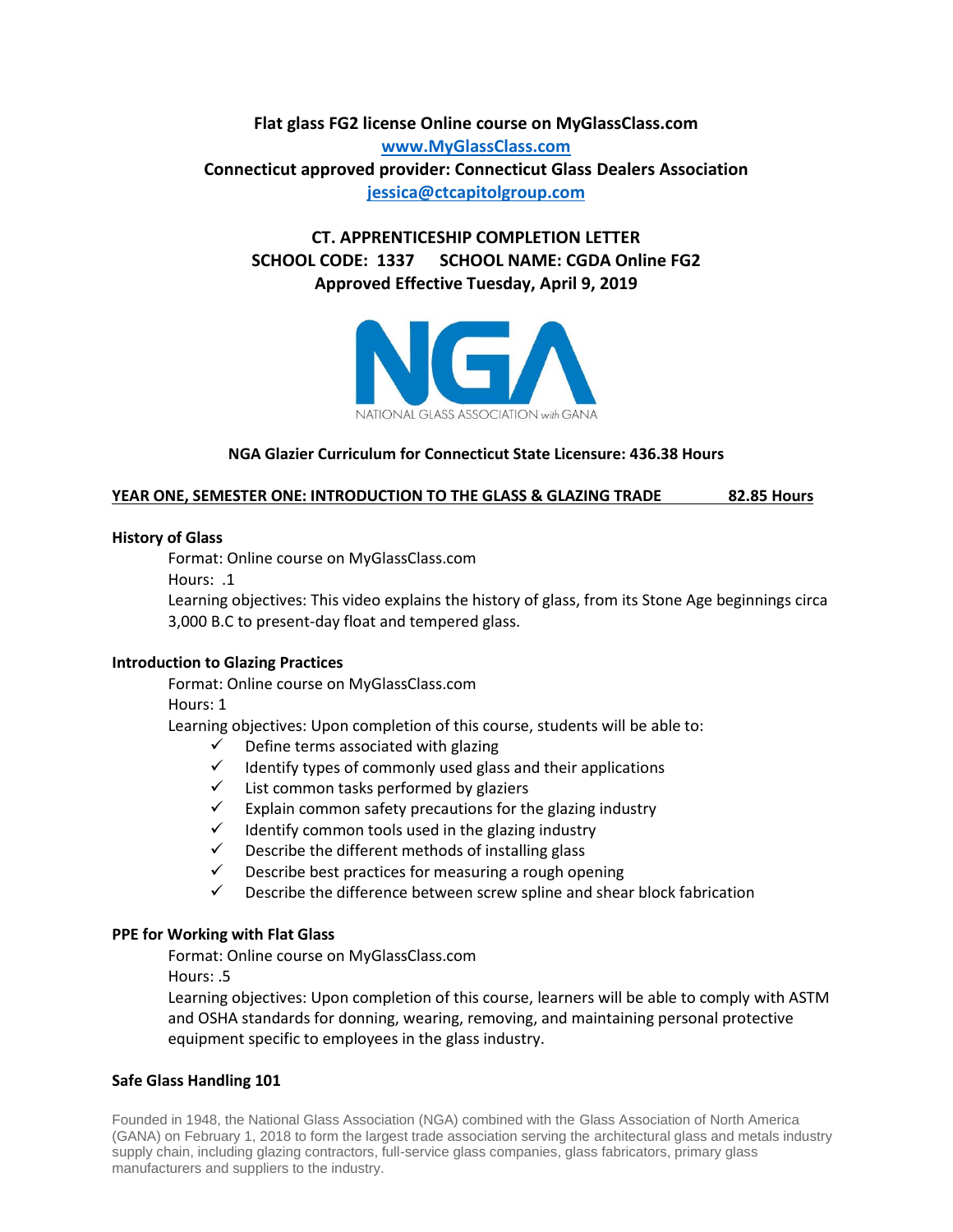**Flat glass FG2 license Online course on MyGlassClass.com [www.MyGlassClass.com](http://www.myglassclass.com/) Connecticut approved provider: Connecticut Glass Dealers Association [jessica@ctcapitolgroup.com](mailto:jessica@ctcapitolgroup.com)**

**CT. APPRENTICESHIP COMPLETION LETTER SCHOOL CODE: 1337 SCHOOL NAME: CGDA Online FG2 Approved Effective Tuesday, April 9, 2019**



### **NGA Glazier Curriculum for Connecticut State Licensure: 436.38 Hours**

#### **YEAR ONE, SEMESTER ONE: INTRODUCTION TO THE GLASS & GLAZING TRADE 82.85 Hours**

#### **History of Glass**

Format: Online course on MyGlassClass.com

Hours: .1

Learning objectives: This video explains the history of glass, from its Stone Age beginnings circa 3,000 B.C to present-day float and tempered glass.

#### **Introduction to Glazing Practices**

Format: Online course on MyGlassClass.com

Hours: 1

Learning objectives: Upon completion of this course, students will be able to:

- $\checkmark$  Define terms associated with glazing
- $\checkmark$  Identify types of commonly used glass and their applications
- $\checkmark$  List common tasks performed by glaziers
- $\checkmark$  Explain common safety precautions for the glazing industry
- $\checkmark$  Identify common tools used in the glazing industry
- $\checkmark$  Describe the different methods of installing glass
- $\checkmark$  Describe best practices for measuring a rough opening
- $\checkmark$  Describe the difference between screw spline and shear block fabrication

#### **PPE for Working with Flat Glass**

Format: Online course on MyGlassClass.com

Hours: .5

Learning objectives: Upon completion of this course, learners will be able to comply with ASTM and OSHA standards for donning, wearing, removing, and maintaining personal protective equipment specific to employees in the glass industry.

## **Safe Glass Handling 101**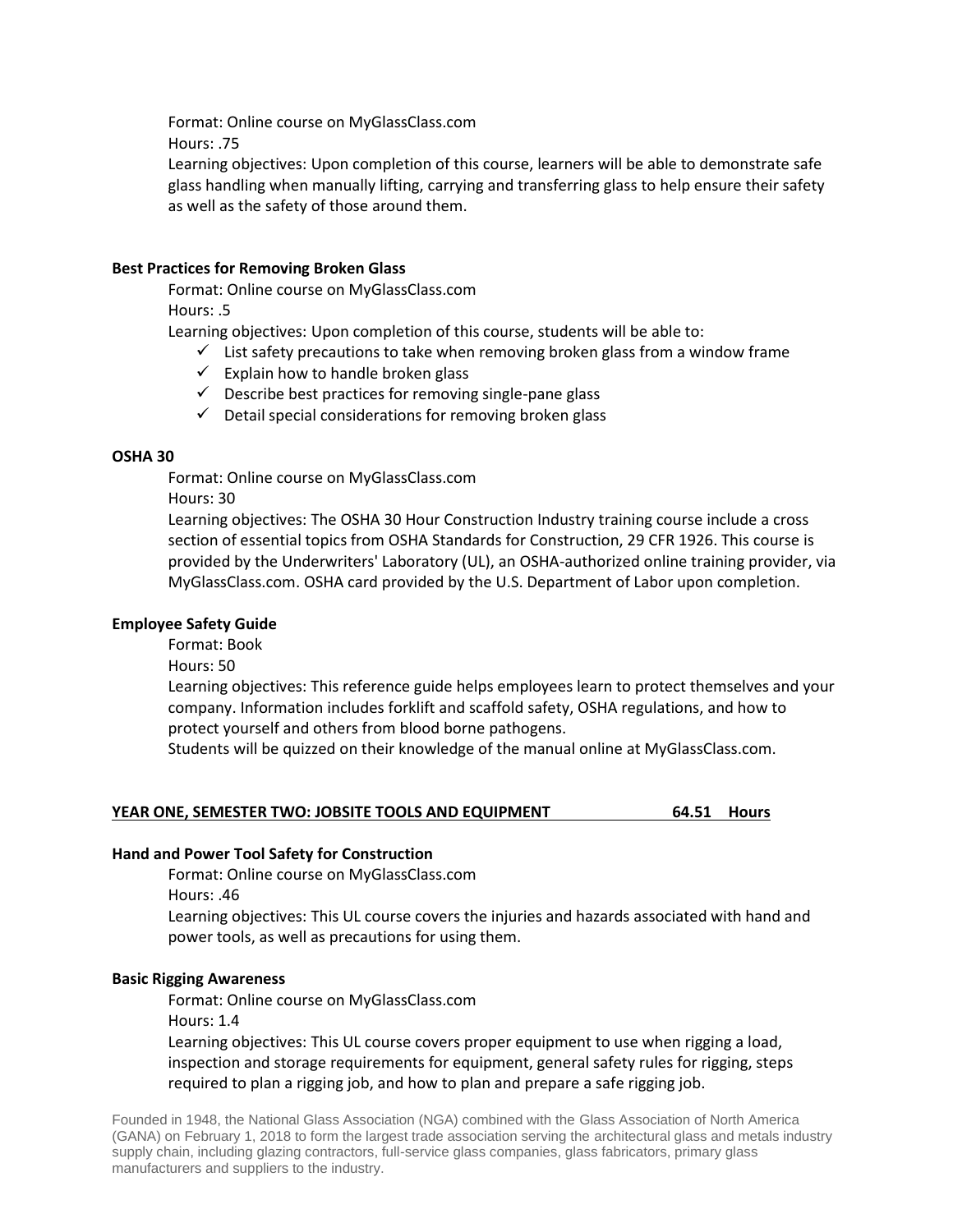Format: Online course on MyGlassClass.com Hours: .75

Learning objectives: Upon completion of this course, learners will be able to demonstrate safe glass handling when manually lifting, carrying and transferring glass to help ensure their safety as well as the safety of those around them.

## **Best Practices for Removing Broken Glass**

Format: Online course on MyGlassClass.com Hours: .5

Learning objectives: Upon completion of this course, students will be able to:

- $\checkmark$  List safety precautions to take when removing broken glass from a window frame
- $\checkmark$  Explain how to handle broken glass
- $\checkmark$  Describe best practices for removing single-pane glass
- $\checkmark$  Detail special considerations for removing broken glass

## **OSHA 30**

Format: Online course on MyGlassClass.com

Hours: 30

Learning objectives: The OSHA 30 Hour Construction Industry training course include a cross section of essential topics from OSHA Standards for Construction, 29 CFR 1926. This course is provided by the Underwriters' Laboratory (UL), an OSHA-authorized online training provider, via MyGlassClass.com. OSHA card provided by the U.S. Department of Labor upon completion.

### **Employee Safety Guide**

Format: Book

Hours: 50

Learning objectives: This reference guide helps employees learn to protect themselves and your company. Information includes forklift and scaffold safety, OSHA regulations, and how to protect yourself and others from blood borne pathogens.

Students will be quizzed on their knowledge of the manual online at MyGlassClass.com.

## **YEAR ONE, SEMESTER TWO: JOBSITE TOOLS AND EQUIPMENT 64.51 Hours**

#### **Hand and Power Tool Safety for Construction**

Format: Online course on MyGlassClass.com

Hours: .46

Learning objectives: This UL course covers the injuries and hazards associated with hand and power tools, as well as precautions for using them.

#### **Basic Rigging Awareness**

Format: Online course on MyGlassClass.com Hours: 1.4

Learning objectives: This UL course covers proper equipment to use when rigging a load, inspection and storage requirements for equipment, general safety rules for rigging, steps required to plan a rigging job, and how to plan and prepare a safe rigging job.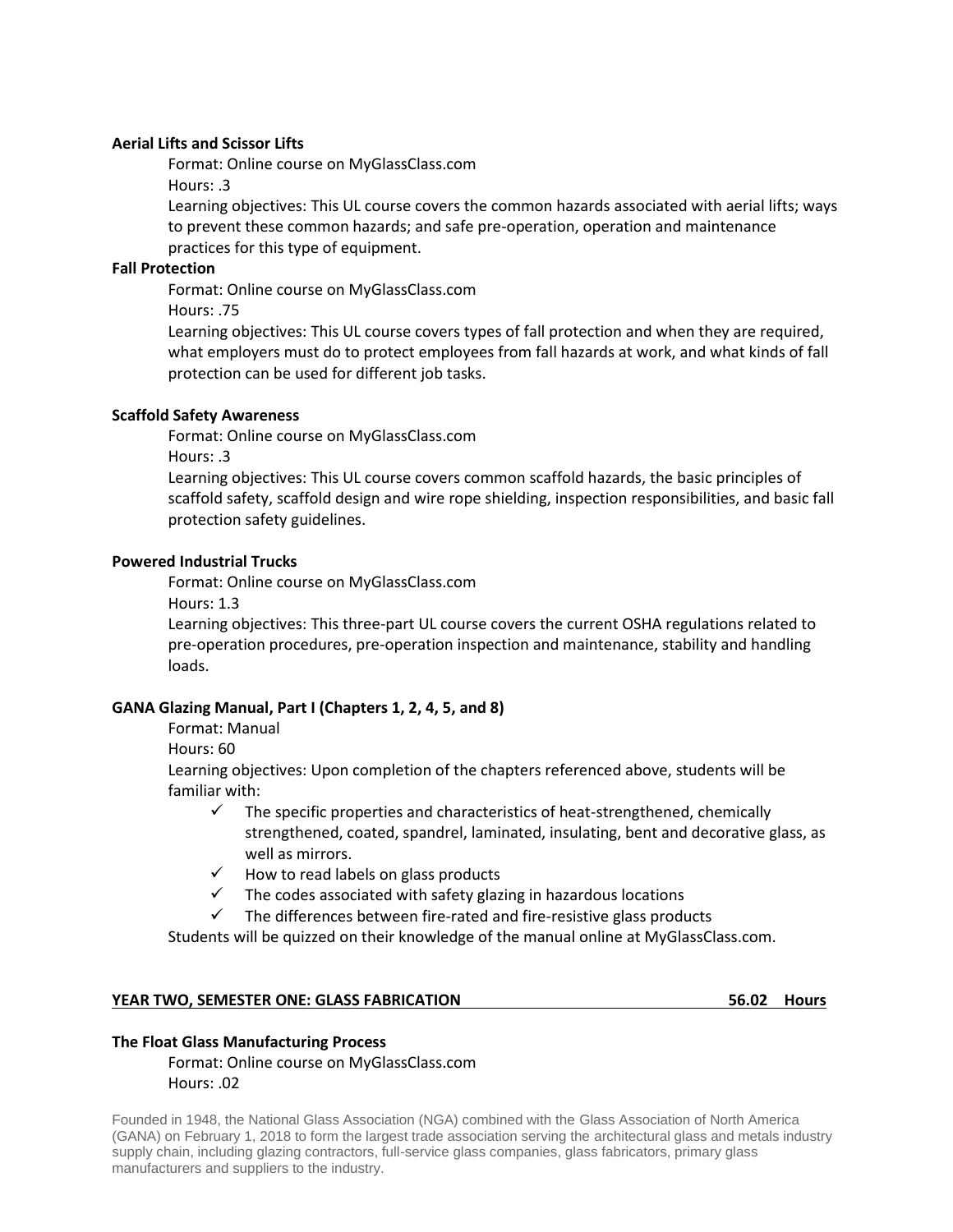### **Aerial Lifts and Scissor Lifts**

Format: Online course on MyGlassClass.com

Hours: .3

Learning objectives: This UL course covers the common hazards associated with aerial lifts; ways to prevent these common hazards; and safe pre-operation, operation and maintenance practices for this type of equipment.

## **Fall Protection**

Format: Online course on MyGlassClass.com

Hours: .75

Learning objectives: This UL course covers types of fall protection and when they are required, what employers must do to protect employees from fall hazards at work, and what kinds of fall protection can be used for different job tasks.

### **Scaffold Safety Awareness**

Format: Online course on MyGlassClass.com

Hours: .3

Learning objectives: This UL course covers common scaffold hazards, the basic principles of scaffold safety, scaffold design and wire rope shielding, inspection responsibilities, and basic fall protection safety guidelines.

### **Powered Industrial Trucks**

Format: Online course on MyGlassClass.com

Hours: 1.3

Learning objectives: This three-part UL course covers the current OSHA regulations related to pre-operation procedures, pre-operation inspection and maintenance, stability and handling loads.

## **GANA Glazing Manual, Part I (Chapters 1, 2, 4, 5, and 8)**

Format: Manual

Hours: 60

Learning objectives: Upon completion of the chapters referenced above, students will be familiar with:

- $\checkmark$  The specific properties and characteristics of heat-strengthened, chemically strengthened, coated, spandrel, laminated, insulating, bent and decorative glass, as well as mirrors.
- $\checkmark$  How to read labels on glass products
- $\checkmark$  The codes associated with safety glazing in hazardous locations
- $\checkmark$  The differences between fire-rated and fire-resistive glass products

Students will be quizzed on their knowledge of the manual online at MyGlassClass.com.

#### **YEAR TWO, SEMESTER ONE: GLASS FABRICATION 56.02 Hours**

#### **The Float Glass Manufacturing Process**

Format: Online course on MyGlassClass.com Hours: .02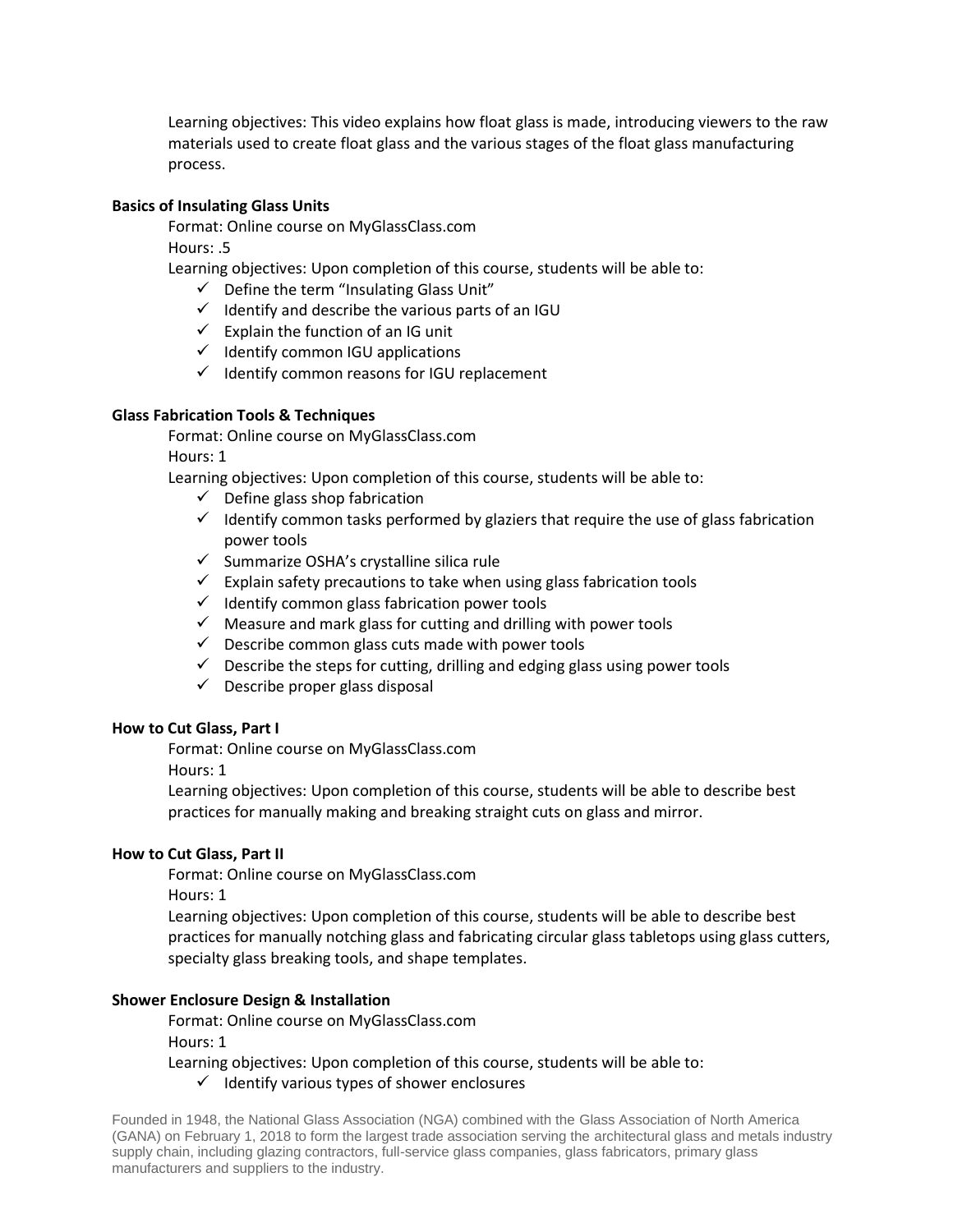Learning objectives: This video explains how float glass is made, introducing viewers to the raw materials used to create float glass and the various stages of the float glass manufacturing process.

### **Basics of Insulating Glass Units**

Format: Online course on MyGlassClass.com

Hours: .5

Learning objectives: Upon completion of this course, students will be able to:

- $\checkmark$  Define the term "Insulating Glass Unit"
- $\checkmark$  Identify and describe the various parts of an IGU
- $\checkmark$  Explain the function of an IG unit
- $\checkmark$  Identify common IGU applications
- $\checkmark$  Identify common reasons for IGU replacement

# **Glass Fabrication Tools & Techniques**

Format: Online course on MyGlassClass.com Hours: 1

Learning objectives: Upon completion of this course, students will be able to:

- $\checkmark$  Define glass shop fabrication
- $\checkmark$  Identify common tasks performed by glaziers that require the use of glass fabrication power tools
- $\checkmark$  Summarize OSHA's crystalline silica rule
- $\checkmark$  Explain safety precautions to take when using glass fabrication tools
- $\checkmark$  Identify common glass fabrication power tools
- $\checkmark$  Measure and mark glass for cutting and drilling with power tools
- $\checkmark$  Describe common glass cuts made with power tools
- $\checkmark$  Describe the steps for cutting, drilling and edging glass using power tools
- $\checkmark$  Describe proper glass disposal

## **How to Cut Glass, Part I**

Format: Online course on MyGlassClass.com

Hours: 1

Learning objectives: Upon completion of this course, students will be able to describe best practices for manually making and breaking straight cuts on glass and mirror.

## **How to Cut Glass, Part II**

Format: Online course on MyGlassClass.com

Hours: 1

Learning objectives: Upon completion of this course, students will be able to describe best practices for manually notching glass and fabricating circular glass tabletops using glass cutters, specialty glass breaking tools, and shape templates.

## **Shower Enclosure Design & Installation**

Format: Online course on MyGlassClass.com

Hours: 1

Learning objectives: Upon completion of this course, students will be able to:

 $\checkmark$  Identify various types of shower enclosures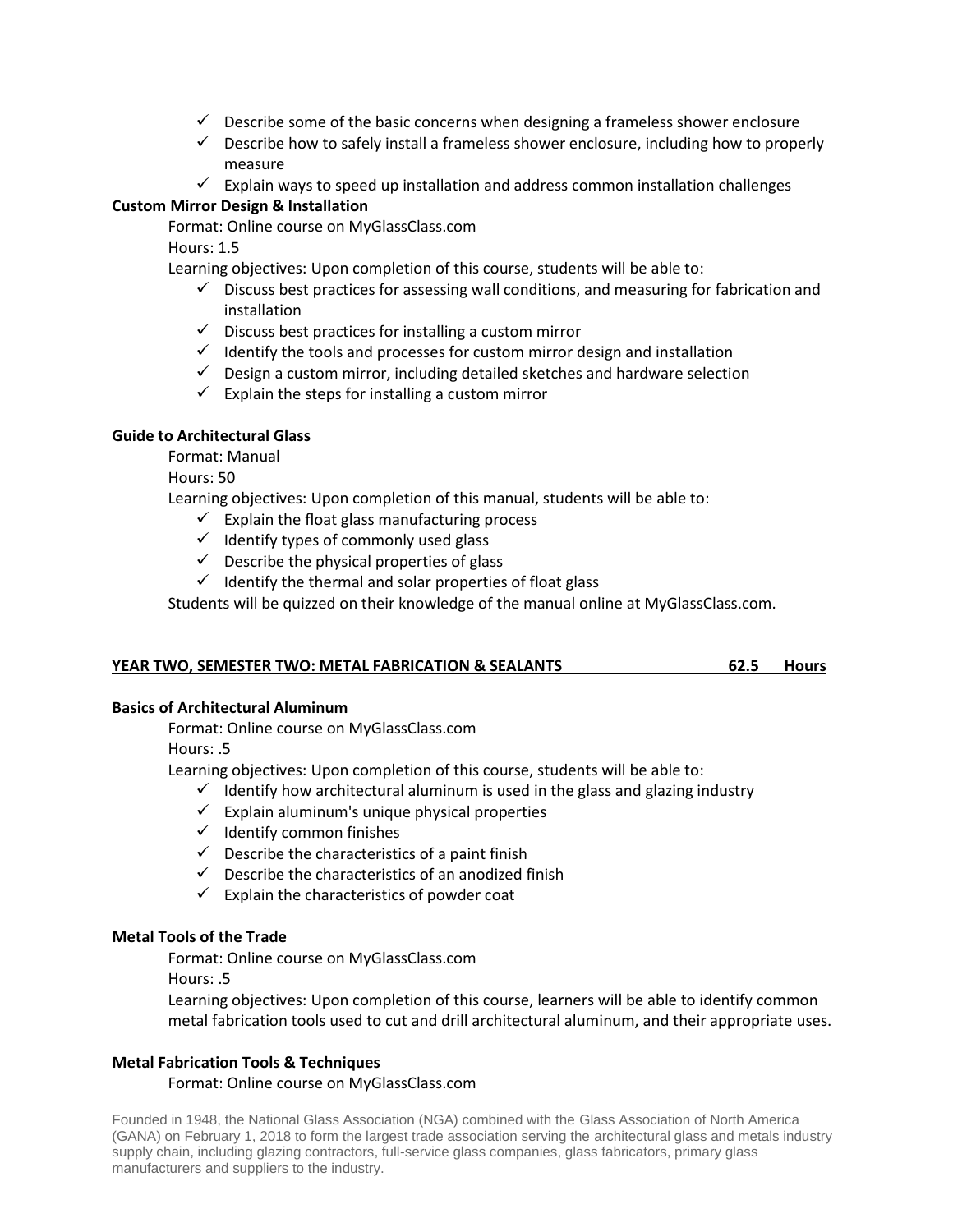- $\checkmark$  Describe some of the basic concerns when designing a frameless shower enclosure
- $\checkmark$  Describe how to safely install a frameless shower enclosure, including how to properly measure
- $\checkmark$  Explain ways to speed up installation and address common installation challenges

# **Custom Mirror Design & Installation**

Format: Online course on MyGlassClass.com

Hours: 1.5

Learning objectives: Upon completion of this course, students will be able to:

- $\checkmark$  Discuss best practices for assessing wall conditions, and measuring for fabrication and installation
- $\checkmark$  Discuss best practices for installing a custom mirror
- $\checkmark$  Identify the tools and processes for custom mirror design and installation
- $\checkmark$  Design a custom mirror, including detailed sketches and hardware selection
- $\checkmark$  Explain the steps for installing a custom mirror

# **Guide to Architectural Glass**

Format: Manual

Hours: 50

Learning objectives: Upon completion of this manual, students will be able to:

- $\checkmark$  Explain the float glass manufacturing process
- $\checkmark$  Identify types of commonly used glass
- $\checkmark$  Describe the physical properties of glass
- $\checkmark$  Identify the thermal and solar properties of float glass

Students will be quizzed on their knowledge of the manual online at MyGlassClass.com.

## **YEAR TWO, SEMESTER TWO: METAL FABRICATION & SEALANTS 62.5 Hours**

## **Basics of Architectural Aluminum**

Format: Online course on MyGlassClass.com

Hours: .5

Learning objectives: Upon completion of this course, students will be able to:

- $\checkmark$  Identify how architectural aluminum is used in the glass and glazing industry
- $\checkmark$  Explain aluminum's unique physical properties
- $\checkmark$  Identify common finishes
- $\checkmark$  Describe the characteristics of a paint finish
- $\checkmark$  Describe the characteristics of an anodized finish
- $\checkmark$  Explain the characteristics of powder coat

## **Metal Tools of the Trade**

Format: Online course on MyGlassClass.com

Hours: .5

Learning objectives: Upon completion of this course, learners will be able to identify common metal fabrication tools used to cut and drill architectural aluminum, and their appropriate uses.

## **Metal Fabrication Tools & Techniques**

Format: Online course on MyGlassClass.com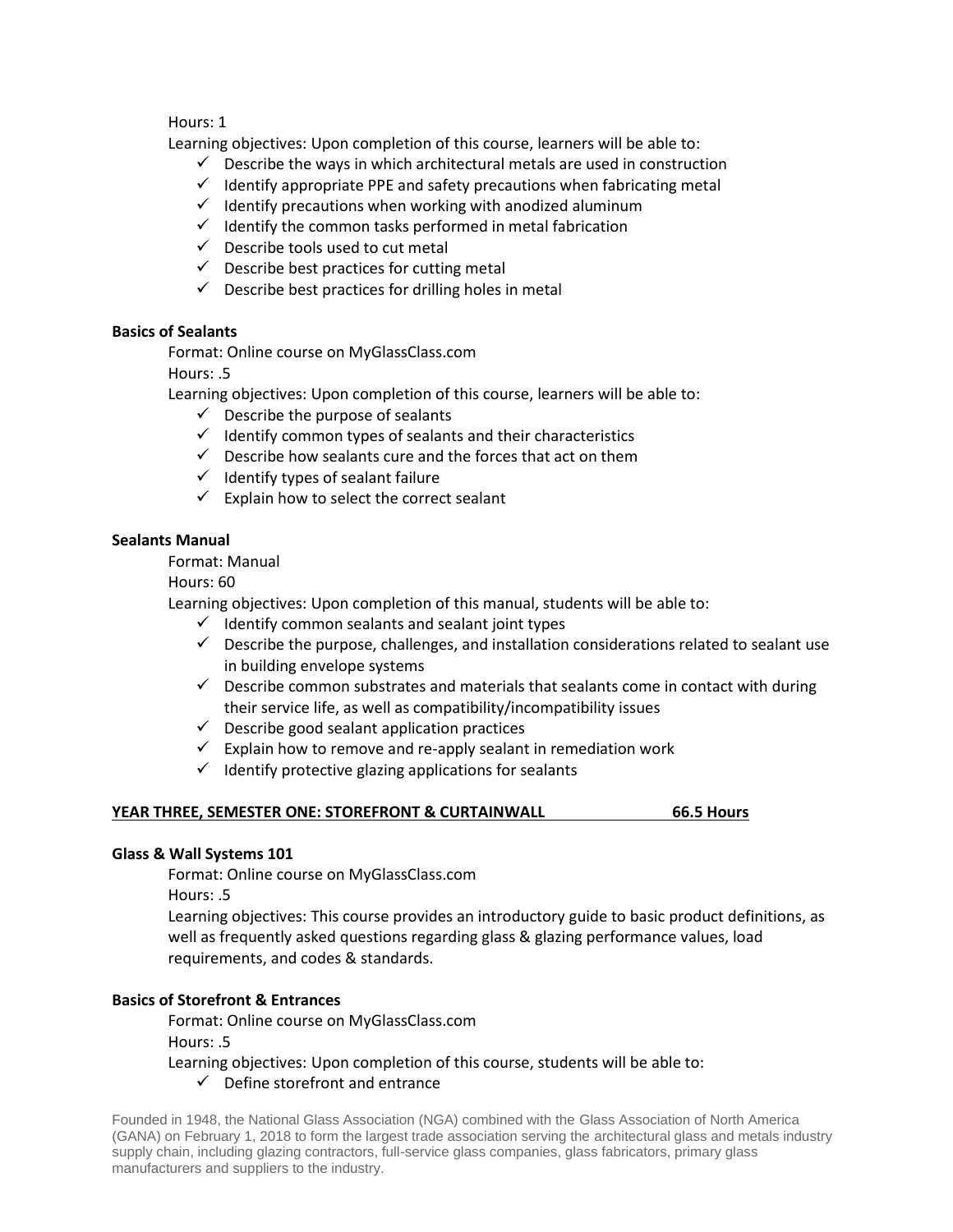Hours: 1

Learning objectives: Upon completion of this course, learners will be able to:

- $\checkmark$  Describe the ways in which architectural metals are used in construction
- $\checkmark$  Identify appropriate PPE and safety precautions when fabricating metal
- $\checkmark$  Identify precautions when working with anodized aluminum
- $\checkmark$  Identify the common tasks performed in metal fabrication
- $\checkmark$  Describe tools used to cut metal
- $\checkmark$  Describe best practices for cutting metal
- $\checkmark$  Describe best practices for drilling holes in metal

# **Basics of Sealants**

Format: Online course on MyGlassClass.com

Hours: .5

Learning objectives: Upon completion of this course, learners will be able to:

- $\checkmark$  Describe the purpose of sealants
- $\checkmark$  Identify common types of sealants and their characteristics
- $\checkmark$  Describe how sealants cure and the forces that act on them
- $\checkmark$  Identify types of sealant failure
- $\checkmark$  Explain how to select the correct sealant

## **Sealants Manual**

Format: Manual

Hours: 60

Learning objectives: Upon completion of this manual, students will be able to:

- $\checkmark$  Identify common sealants and sealant joint types
- $\checkmark$  Describe the purpose, challenges, and installation considerations related to sealant use in building envelope systems
- $\checkmark$  Describe common substrates and materials that sealants come in contact with during their service life, as well as compatibility/incompatibility issues
- $\checkmark$  Describe good sealant application practices
- $\checkmark$  Explain how to remove and re-apply sealant in remediation work
- $\checkmark$  Identify protective glazing applications for sealants

## **YEAR THREE, SEMESTER ONE: STOREFRONT & CURTAINWALL 66.5 Hours**

## **Glass & Wall Systems 101**

Format: Online course on MyGlassClass.com

Hours: .5

Learning objectives: This course provides an introductory guide to basic product definitions, as well as frequently asked questions regarding glass & glazing performance values, load requirements, and codes & standards.

# **Basics of Storefront & Entrances**

Format: Online course on MyGlassClass.com

Hours: .5

Learning objectives: Upon completion of this course, students will be able to:

 $\checkmark$  Define storefront and entrance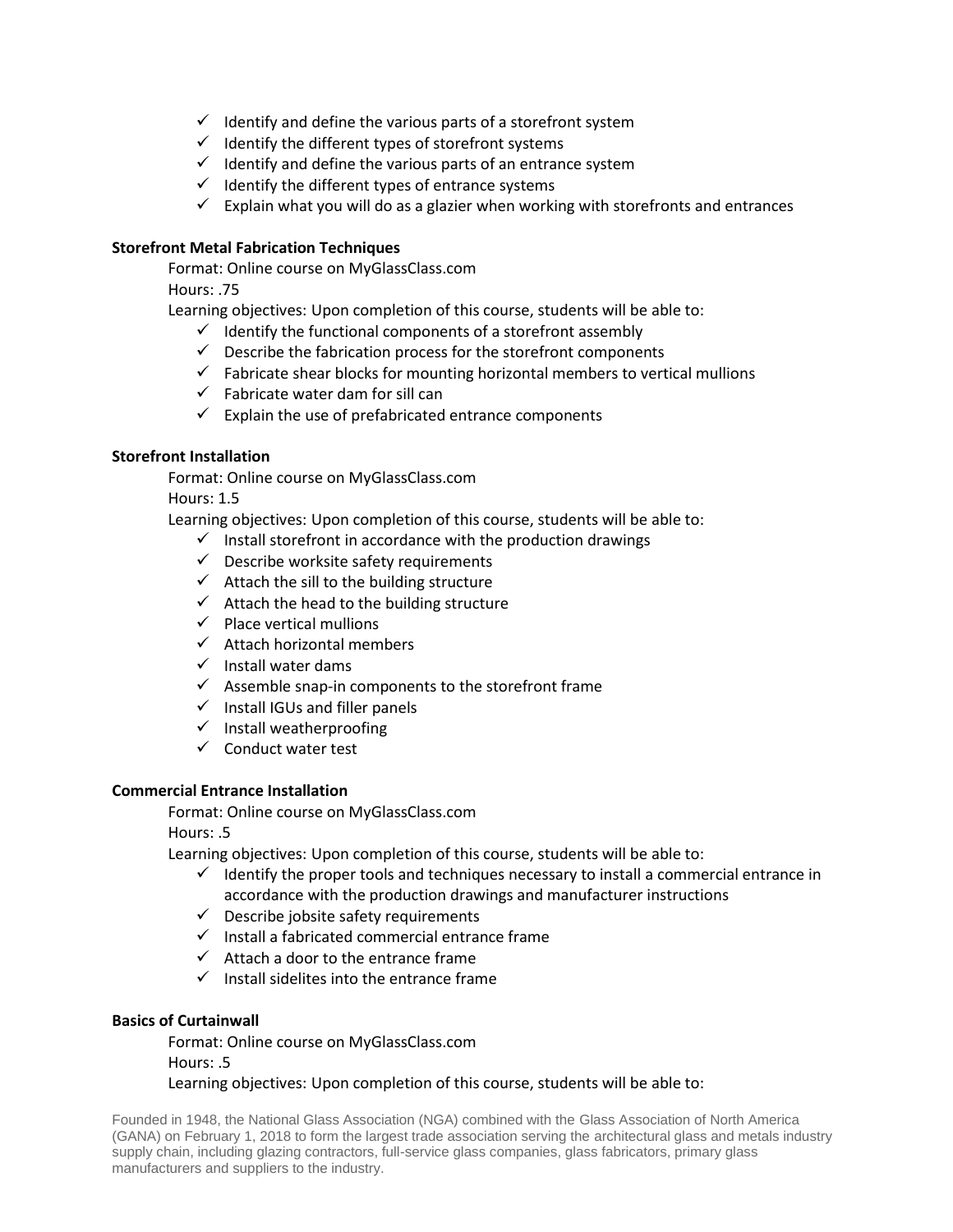- $\checkmark$  Identify and define the various parts of a storefront system
- $\checkmark$  Identify the different types of storefront systems
- $\checkmark$  Identify and define the various parts of an entrance system
- $\checkmark$  Identify the different types of entrance systems
- $\checkmark$  Explain what you will do as a glazier when working with storefronts and entrances

# **Storefront Metal Fabrication Techniques**

Format: Online course on MyGlassClass.com

Hours: .75

Learning objectives: Upon completion of this course, students will be able to:

- $\checkmark$  Identify the functional components of a storefront assembly
- $\checkmark$  Describe the fabrication process for the storefront components
- $\checkmark$  Fabricate shear blocks for mounting horizontal members to vertical mullions
- $\checkmark$  Fabricate water dam for sill can
- $\checkmark$  Explain the use of prefabricated entrance components

# **Storefront Installation**

Format: Online course on MyGlassClass.com

Hours: 1.5

Learning objectives: Upon completion of this course, students will be able to:

- $\checkmark$  Install storefront in accordance with the production drawings
- $\checkmark$  Describe worksite safety requirements
- $\checkmark$  Attach the sill to the building structure
- $\checkmark$  Attach the head to the building structure
- $\checkmark$  Place vertical mullions
- $\checkmark$  Attach horizontal members
- $\checkmark$  Install water dams
- $\checkmark$  Assemble snap-in components to the storefront frame
- $\checkmark$  Install IGUs and filler panels
- $\checkmark$  Install weatherproofing
- $\checkmark$  Conduct water test

## **Commercial Entrance Installation**

Format: Online course on MyGlassClass.com

Hours: .5

Learning objectives: Upon completion of this course, students will be able to:

- $\checkmark$  Identify the proper tools and techniques necessary to install a commercial entrance in accordance with the production drawings and manufacturer instructions
- $\checkmark$  Describe jobsite safety requirements
- $\checkmark$  Install a fabricated commercial entrance frame
- $\checkmark$  Attach a door to the entrance frame
- $\checkmark$  Install sidelites into the entrance frame

## **Basics of Curtainwall**

Format: Online course on MyGlassClass.com Hours: .5 Learning objectives: Upon completion of this course, students will be able to: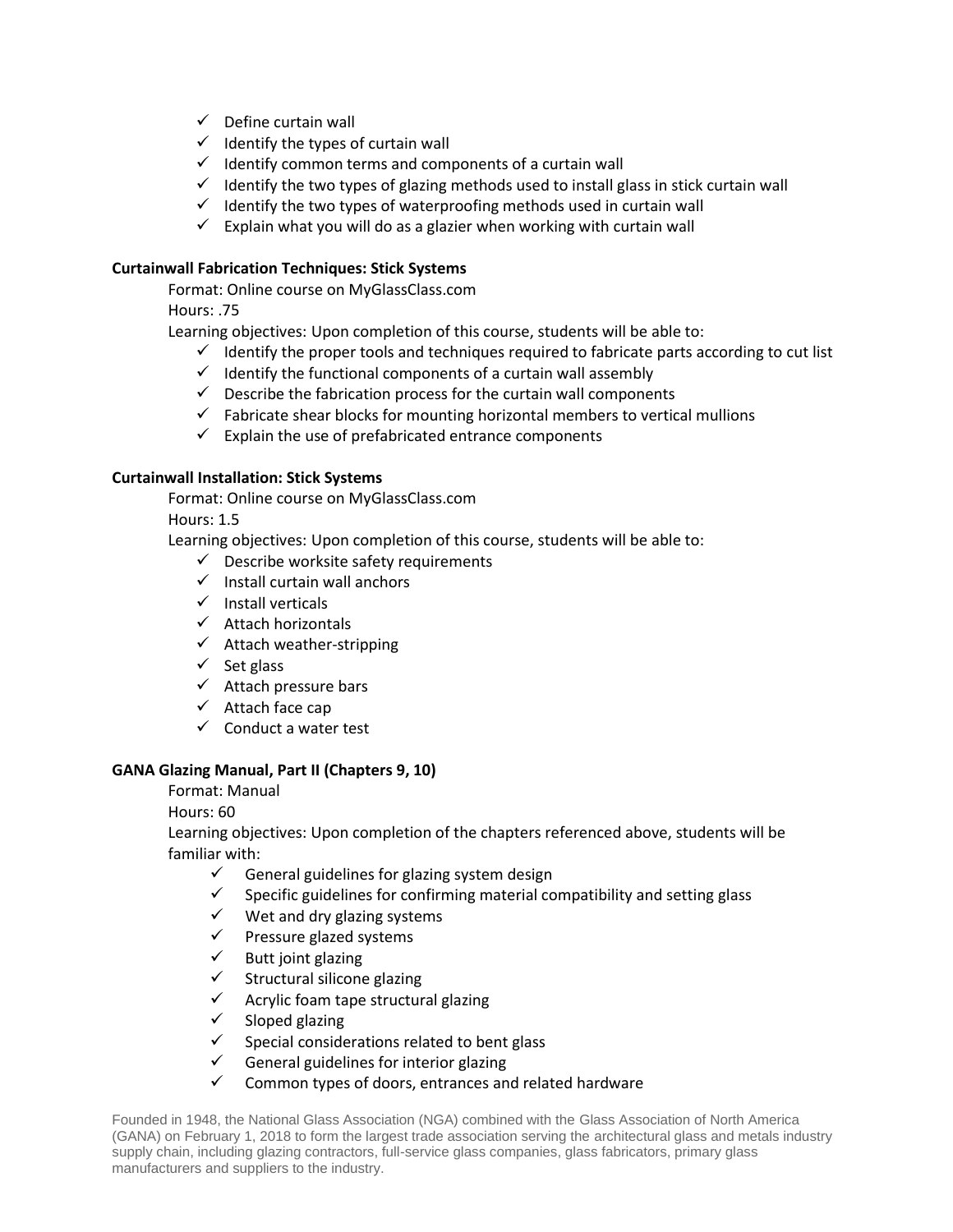- $\checkmark$  Define curtain wall
- $\checkmark$  Identify the types of curtain wall
- $\checkmark$  Identify common terms and components of a curtain wall
- $\checkmark$  Identify the two types of glazing methods used to install glass in stick curtain wall
- $\checkmark$  Identify the two types of waterproofing methods used in curtain wall
- $\checkmark$  Explain what you will do as a glazier when working with curtain wall

# **Curtainwall Fabrication Techniques: Stick Systems**

Format: Online course on MyGlassClass.com

Hours: .75

Learning objectives: Upon completion of this course, students will be able to:

- $\checkmark$  Identify the proper tools and techniques required to fabricate parts according to cut list
- $\checkmark$  Identify the functional components of a curtain wall assembly
- $\checkmark$  Describe the fabrication process for the curtain wall components
- $\checkmark$  Fabricate shear blocks for mounting horizontal members to vertical mullions
- $\checkmark$  Explain the use of prefabricated entrance components

# **Curtainwall Installation: Stick Systems**

Format: Online course on MyGlassClass.com

Hours: 1.5

Learning objectives: Upon completion of this course, students will be able to:

- $\checkmark$  Describe worksite safety requirements
- $\checkmark$  Install curtain wall anchors
- $\checkmark$  Install verticals
- $\checkmark$  Attach horizontals
- $\checkmark$  Attach weather-stripping
- $\checkmark$  Set glass
- $\checkmark$  Attach pressure bars
- $\checkmark$  Attach face cap
- $\checkmark$  Conduct a water test

# **GANA Glazing Manual, Part II (Chapters 9, 10)**

Format: Manual

Hours: 60

Learning objectives: Upon completion of the chapters referenced above, students will be familiar with:

- General guidelines for glazing system design<br>
Specific guidelines for confirming material co
- Specific guidelines for confirming material compatibility and setting glass
- $\checkmark$  Wet and dry glazing systems
- $\checkmark$  Pressure glazed systems
- $\checkmark$  Butt joint glazing
- $\checkmark$  Structural silicone glazing
- $\checkmark$  Acrylic foam tape structural glazing
- $\checkmark$  Sloped glazing
- $\checkmark$  Special considerations related to bent glass
- $\checkmark$  General guidelines for interior glazing
- $\checkmark$  Common types of doors, entrances and related hardware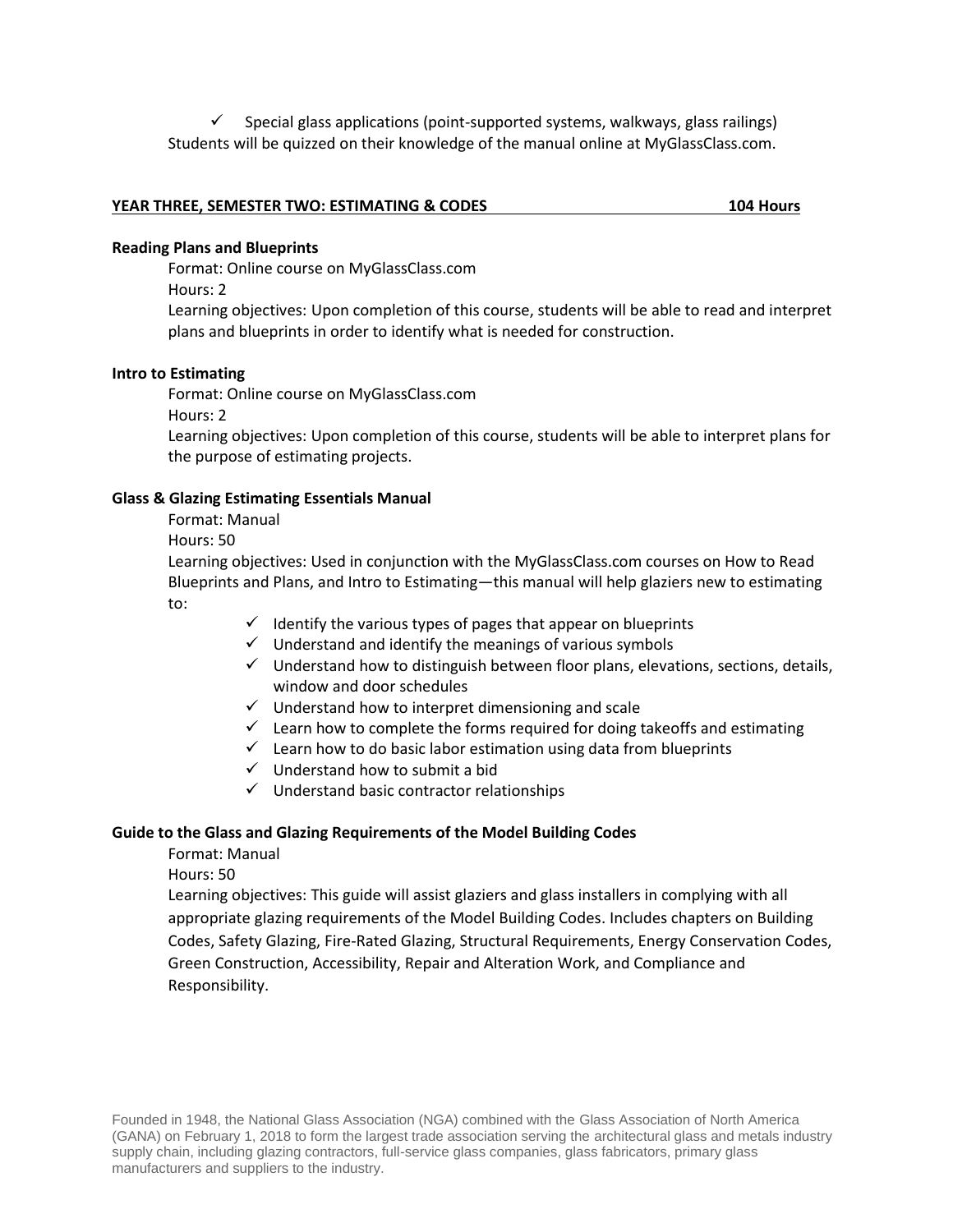$\checkmark$  Special glass applications (point-supported systems, walkways, glass railings) Students will be quizzed on their knowledge of the manual online at MyGlassClass.com.

# **YEAR THREE, SEMESTER TWO: ESTIMATING & CODES 104 Hours**

#### **Reading Plans and Blueprints**

Format: Online course on MyGlassClass.com

Hours: 2

Learning objectives: Upon completion of this course, students will be able to read and interpret plans and blueprints in order to identify what is needed for construction.

## **Intro to Estimating**

Format: Online course on MyGlassClass.com

Hours: 2

Learning objectives: Upon completion of this course, students will be able to interpret plans for the purpose of estimating projects.

### **Glass & Glazing Estimating Essentials Manual**

Format: Manual

Hours: 50

Learning objectives: Used in conjunction with the MyGlassClass.com courses on How to Read Blueprints and Plans, and Intro to Estimating—this manual will help glaziers new to estimating to:

- $\checkmark$  Identify the various types of pages that appear on blueprints
- $\checkmark$  Understand and identify the meanings of various symbols
- $\checkmark$  Understand how to distinguish between floor plans, elevations, sections, details, window and door schedules
- $\checkmark$  Understand how to interpret dimensioning and scale
- $\checkmark$  Learn how to complete the forms required for doing takeoffs and estimating
- $\checkmark$  Learn how to do basic labor estimation using data from blueprints
- $\checkmark$  Understand how to submit a bid
- $\checkmark$  Understand basic contractor relationships

## **Guide to the Glass and Glazing Requirements of the Model Building Codes**

Format: Manual

Hours: 50

Learning objectives: This guide will assist glaziers and glass installers in complying with all appropriate glazing requirements of the Model Building Codes. Includes chapters on Building Codes, Safety Glazing, Fire-Rated Glazing, Structural Requirements, Energy Conservation Codes, Green Construction, Accessibility, Repair and Alteration Work, and Compliance and Responsibility.